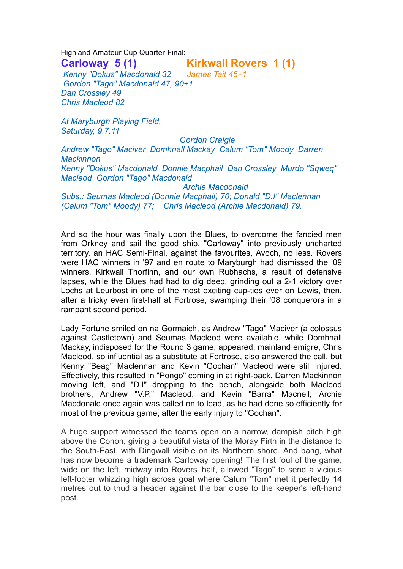Highland Amateur Cup Quarter-Final:

**Carloway 5 (1) Kirkwall Rovers 1 (1)**

 *Kenny "Dokus" Macdonald 32 James Tait 45+1 Gordon "Tago" Macdonald 47, 90+1 Dan Crossley 49 Chris Macleod 82*

*At Maryburgh Playing Field, Saturday, 9.7.11* 

 *Gordon Craigie Andrew "Tago" Maciver Domhnall Mackay Calum "Tom" Moody Darren Mackinnon Kenny "Dokus" Macdonald Donnie Macphail Dan Crossley Murdo "Sqweq" Macleod Gordon "Tago" Macdonald Archie Macdonald*

*Subs.: Seumas Macleod (Donnie Macphail) 70; Donald "D.I" Maclennan (Calum "Tom" Moody) 77; Chris Macleod (Archie Macdonald) 79.*

And so the hour was finally upon the Blues, to overcome the fancied men from Orkney and sail the good ship, "Carloway" into previously uncharted territory, an HAC Semi-Final, against the favourites, Avoch, no less. Rovers were HAC winners in '97 and en route to Maryburgh had dismissed the '09 winners, Kirkwall Thorfinn, and our own Rubhachs, a result of defensive lapses, while the Blues had had to dig deep, grinding out a 2-1 victory over Lochs at Leurbost in one of the most exciting cup-ties ever on Lewis, then, after a tricky even first-half at Fortrose, swamping their '08 conquerors in a rampant second period.

Lady Fortune smiled on na Gormaich, as Andrew "Tago" Maciver (a colossus against Castletown) and Seumas Macleod were available, while Domhnall Mackay, indisposed for the Round 3 game, appeared; mainland emigre, Chris Macleod, so influential as a substitute at Fortrose, also answered the call, but Kenny "Beag" Maclennan and Kevin "Gochan" Macleod were still injured. Effectively, this resulted in "Pongo" coming in at right-back, Darren Mackinnon moving left, and "D.I" dropping to the bench, alongside both Macleod brothers, Andrew "V.P." Macleod, and Kevin "Barra" Macneil; Archie Macdonald once again was called on to lead, as he had done so efficiently for most of the previous game, after the early injury to "Gochan".

A huge support witnessed the teams open on a narrow, dampish pitch high above the Conon, giving a beautiful vista of the Moray Firth in the distance to the South-East, with Dingwall visible on its Northern shore. And bang, what has now become a trademark Carloway opening! The first foul of the game, wide on the left, midway into Rovers' half, allowed "Tago" to send a vicious left-footer whizzing high across goal where Calum "Tom" met it perfectly 14 metres out to thud a header against the bar close to the keeper's left-hand post.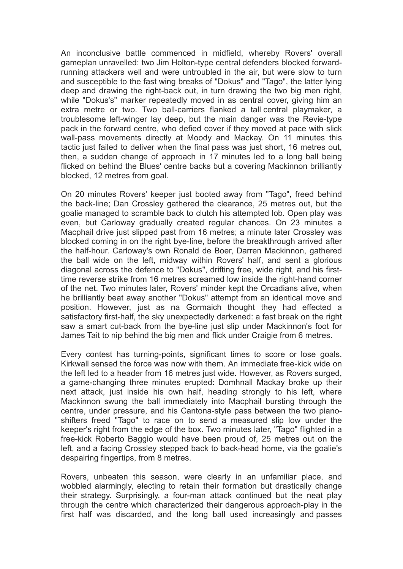An inconclusive battle commenced in midfield, whereby Rovers' overall gameplan unravelled: two Jim Holton-type central defenders blocked forwardrunning attackers well and were untroubled in the air, but were slow to turn and susceptible to the fast wing breaks of "Dokus" and "Tago", the latter lying deep and drawing the right-back out, in turn drawing the two big men right, while "Dokus's" marker repeatedly moved in as central cover, giving him an extra metre or two. Two ball-carriers flanked a tall central playmaker, a troublesome left-winger lay deep, but the main danger was the Revie-type pack in the forward centre, who defied cover if they moved at pace with slick wall-pass movements directly at Moody and Mackay. On 11 minutes this tactic just failed to deliver when the final pass was just short, 16 metres out, then, a sudden change of approach in 17 minutes led to a long ball being flicked on behind the Blues' centre backs but a covering Mackinnon brilliantly blocked, 12 metres from goal.

On 20 minutes Rovers' keeper just booted away from "Tago", freed behind the back-line; Dan Crossley gathered the clearance, 25 metres out, but the goalie managed to scramble back to clutch his attempted lob. Open play was even, but Carloway gradually created regular chances. On 23 minutes a Macphail drive just slipped past from 16 metres; a minute later Crossley was blocked coming in on the right bye-line, before the breakthrough arrived after the half-hour. Carloway's own Ronald de Boer, Darren Mackinnon, gathered the ball wide on the left, midway within Rovers' half, and sent a glorious diagonal across the defence to "Dokus", drifting free, wide right, and his firsttime reverse strike from 16 metres screamed low inside the right-hand corner of the net. Two minutes later, Rovers' minder kept the Orcadians alive, when he brilliantly beat away another "Dokus" attempt from an identical move and position. However, just as na Gormaich thought they had effected a satisfactory first-half, the sky unexpectedly darkened: a fast break on the right saw a smart cut-back from the bye-line just slip under Mackinnon's foot for James Tait to nip behind the big men and flick under Craigie from 6 metres.

Every contest has turning-points, significant times to score or lose goals. Kirkwall sensed the force was now with them. An immediate free-kick wide on the left led to a header from 16 metres just wide. However, as Rovers surged, a game-changing three minutes erupted: Domhnall Mackay broke up their next attack, just inside his own half, heading strongly to his left, where Mackinnon swung the ball immediately into Macphail bursting through the centre, under pressure, and his Cantona-style pass between the two pianoshifters freed "Tago" to race on to send a measured slip low under the keeper's right from the edge of the box. Two minutes later, "Tago" flighted in a free-kick Roberto Baggio would have been proud of, 25 metres out on the left, and a facing Crossley stepped back to back-head home, via the goalie's despairing fingertips, from 8 metres.

Rovers, unbeaten this season, were clearly in an unfamiliar place, and wobbled alarmingly, electing to retain their formation but drastically change their strategy. Surprisingly, a four-man attack continued but the neat play through the centre which characterized their dangerous approach-play in the first half was discarded, and the long ball used increasingly and passes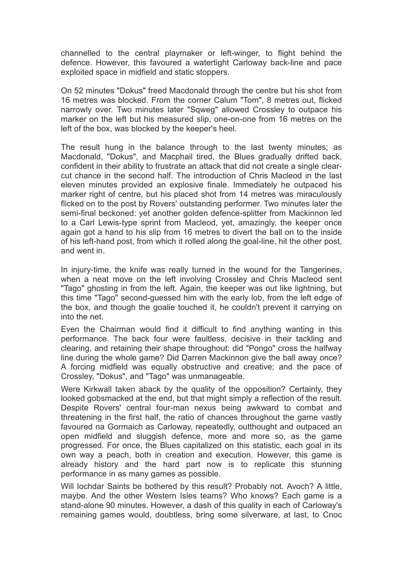channelled to the central playmaker or left-winger, to flight behind the defence. However, this favoured a watertight Carloway back-line and pace exploited space in midfield and static stoppers.

On 52 minutes "Dokus" freed Macdonald through the centre but his shot from 16 metres was blocked. From the corner Calum "Tom", 8 metres out, flicked narrowly over. Two minutes later "Sqweg" allowed Crossley to outpace his marker on the left but his measured slip, one-on-one from 16 metres on the left of the box, was blocked by the keeper's heel.

The result hung in the balance through to the last twenty minutes; as Macdonald, "Dokus", and Macphail tired, the Blues gradually drifted back, confident in their ability to frustrate an attack that did not create a single clearcut chance in the second half. The introduction of Chris Macleod in the last eleven minutes provided an explosive finale. Immediately he outpaced his marker right of centre, but his placed shot from 14 metres was miraculously flicked on to the post by Rovers' outstanding performer. Two minutes later the semi-final beckoned: yet another golden defence-splitter from Mackinnon led to a Carl Lewis-type sprint from Macleod, yet, amazingly, the keeper once again got a hand to his slip from 16 metres to divert the ball on to the inside of his left-hand post, from which it rolled along the goal-line, hit the other post, and went in.

In injury-time, the knife was really turned in the wound for the Tangerines, when a neat move on the left involving Crossley and Chris Macleod sent "Tago" ghosting in from the left. Again, the keeper was out like lightning, but this time "Tago" second-guessed him with the early lob, from the left edge of the box, and though the goalie touched it, he couldn't prevent it carrying on into the net.

Even the Chairman would find it difficult to find anything wanting in this performance. The back four were faultless, decisive in their tackling and clearing, and retaining their shape throughout: did "Pongo" cross the halfway line during the whole game? Did Darren Mackinnon give the ball away once? A forcing midfield was equally obstructive and creative; and the pace of Crossley, "Dokus", and "Tago" was unmanageable.

Were Kirkwall taken aback by the quality of the opposition? Certainly, they looked gobsmacked at the end, but that might simply a reflection of the result. Despite Rovers' central four-man nexus being awkward to combat and threatening in the first half, the ratio of chances throughout the game vastly favoured na Gormaich as Carloway, repeatedly, outthought and outpaced an open midfield and sluggish defence, more and more so, as the game progressed. For once, the Blues capitalized on this statistic, each goal in its own way a peach, both in creation and execution. However, this game is already history and the hard part now is to replicate this stunning performance in as many games as possible.

Will Iochdar Saints be bothered by this result? Probably not. Avoch? A little, maybe. And the other Western Isles teams? Who knows? Each game is a stand-alone 90 minutes. However, a dash of this quality in each of Carloway's remaining games would, doubtless, bring some silverware, at last, to Cnoc